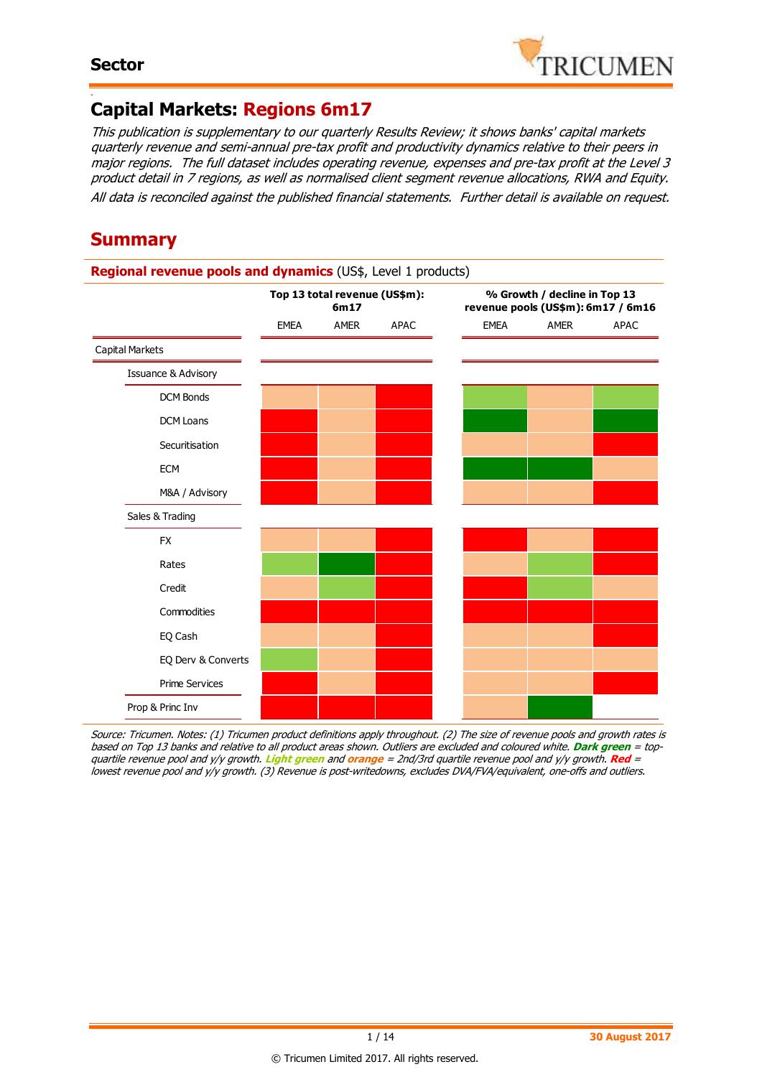

#### - **Capital Markets: Regions 6m17**

This publication is supplementary to our quarterly Results Review; it shows banks' capital markets quarterly revenue and semi-annual pre-tax profit and productivity dynamics relative to their peers in major regions. The full dataset includes operating revenue, expenses and pre-tax profit at the Level 3 product detail in 7 regions, as well as normalised client segment revenue allocations, RWA and Equity. All data is reconciled against the published financial statements. Further detail is available on request.

## **Summary**

#### **Regional revenue pools and dynamics** (US\$, Level 1 products)

|                                |             | Top 13 total revenue (US\$m):<br>6m17 |      |             | % Growth / decline in Top 13<br>revenue pools (US\$m): 6m17 / 6m16 |      |  |  |  |  |  |
|--------------------------------|-------------|---------------------------------------|------|-------------|--------------------------------------------------------------------|------|--|--|--|--|--|
|                                | <b>EMEA</b> | AMER                                  | APAC | <b>EMEA</b> | AMER                                                               | APAC |  |  |  |  |  |
| <b>Capital Markets</b>         |             |                                       |      |             |                                                                    |      |  |  |  |  |  |
| <b>Issuance &amp; Advisory</b> |             |                                       |      |             |                                                                    |      |  |  |  |  |  |
| <b>DCM Bonds</b>               |             |                                       |      |             |                                                                    |      |  |  |  |  |  |
| <b>DCM Loans</b>               |             |                                       |      |             |                                                                    |      |  |  |  |  |  |
| Securitisation                 |             |                                       |      |             |                                                                    |      |  |  |  |  |  |
| <b>ECM</b>                     |             |                                       |      |             |                                                                    |      |  |  |  |  |  |
| M&A / Advisory                 |             |                                       |      |             |                                                                    |      |  |  |  |  |  |
| Sales & Trading                |             |                                       |      |             |                                                                    |      |  |  |  |  |  |
| <b>FX</b>                      |             |                                       |      |             |                                                                    |      |  |  |  |  |  |
| Rates                          |             |                                       |      |             |                                                                    |      |  |  |  |  |  |
| Credit                         |             |                                       |      |             |                                                                    |      |  |  |  |  |  |
| Commodities                    |             |                                       |      |             |                                                                    |      |  |  |  |  |  |
| EQ Cash                        |             |                                       |      |             |                                                                    |      |  |  |  |  |  |
| EQ Derv & Converts             |             |                                       |      |             |                                                                    |      |  |  |  |  |  |
| Prime Services                 |             |                                       |      |             |                                                                    |      |  |  |  |  |  |
| Prop & Princ Inv               |             |                                       |      |             |                                                                    |      |  |  |  |  |  |

Source: Tricumen. Notes: (1) Tricumen product definitions apply throughout. (2) The size of revenue pools and growth rates is based on Top 13 banks and relative to all product areas shown. Outliers are excluded and coloured white. **Dark green** = topquartile revenue pool and y/y growth. **Light green** and **orange** = 2nd/3rd quartile revenue pool and y/y growth. **Red** <sup>=</sup> lowest revenue pool and y/y growth. (3) Revenue is post-writedowns, excludes DVA/FVA/equivalent, one-offs and outliers.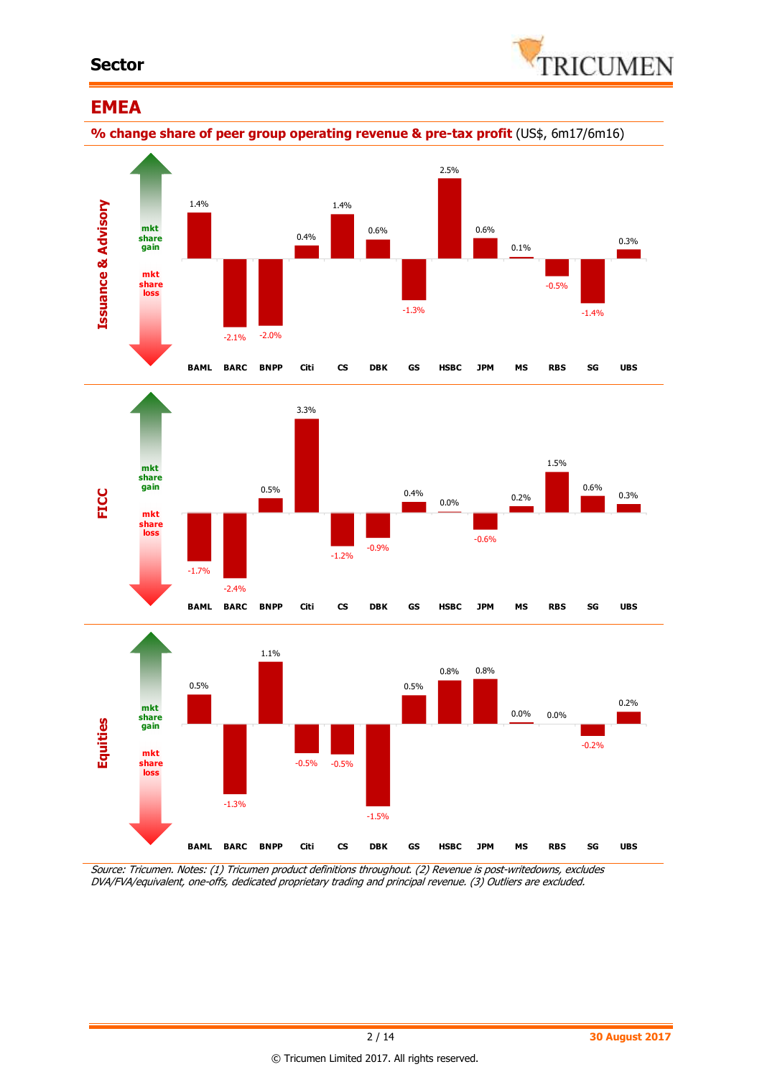### **Sector**



### **EMEA**

**% change share of peer group operating revenue & pre-tax profit** (US\$, 6m17/6m16)







Source: Tricumen. Notes: (1) Tricumen product definitions throughout. (2) Revenue is post-writedowns, excludes DVA/FVA/equivalent, one-offs, dedicated proprietary trading and principal revenue. (3) Outliers are excluded.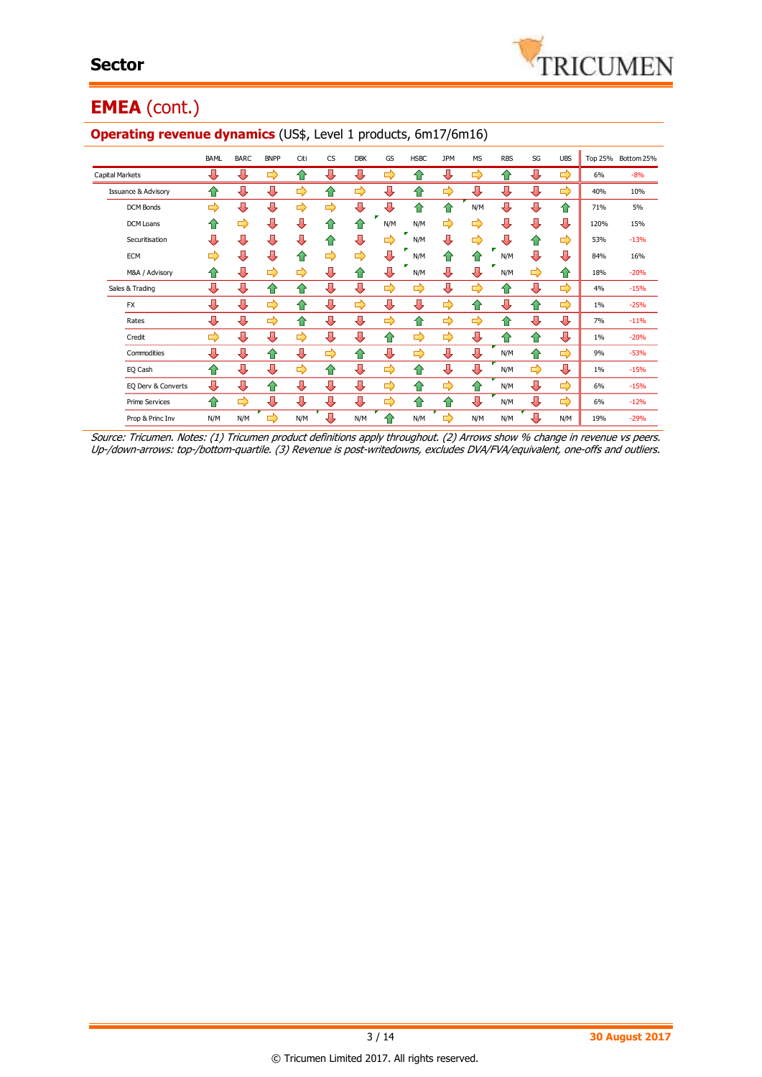

## **EMEA** (cont.)

|                                | <b>BAML</b> | <b>BARC</b> | <b>BNPP</b> | Citi | <b>CS</b> | <b>DBK</b> | GS        | <b>HSBC</b> | <b>JPM</b>         | <b>MS</b>     | <b>RBS</b> | SG            | <b>UBS</b> |      | Top 25% Bottom 25% |
|--------------------------------|-------------|-------------|-------------|------|-----------|------------|-----------|-------------|--------------------|---------------|------------|---------------|------------|------|--------------------|
| Capital Markets                | ⊕           | J           | ⇨           | ⇑    | л         | л          | ⇨         | 11          | Л                  | ⇨             | ⇑          | ⊕             | ⇨          | 6%   | $-8%$              |
| <b>Issuance &amp; Advisory</b> | ⇑           | ⊕           | ⊕           | ⇨    | ⇧         | ⇨          | ⊕         | ⇧           | ⇨                  | 具             | ⊕          | ⊕             | ⇨          | 40%  | 10%                |
| DCM Bonds                      | ⇨           | ⊕           | ⊕           | ⇨    | ⇨         | ⇩          | ⇩         | ⇧           | ⇑                  | N/M           | ⇩          | ⊕             | ⇧          | 71%  | 5%                 |
| <b>DCM Loans</b>               | ⇑           | ⇨           | ⊕           | ⊕    | ⇑         | ⇑          | N/M       | N/M         | ⇨                  | ⇨             | ⊕          | ⊕             | ⇩          | 120% | 15%                |
| Securitisation                 | ⊕           | ⊕           | ⊕           | ⊕    | ⇑         | ⇩          | ⇨         | N/M         | ⇩                  | $\Rightarrow$ | ⊕          | ⇮             | ⇨          | 53%  | $-13%$             |
| ECM                            | ⇨           | ⊕           | ⊕           | ⇑    | ⇨         | ⇨          | ⊕         | N/M         | ⇧                  | ⇑             | N/M        | ⊕             | ⇩          | 84%  | 16%                |
| M&A / Advisory                 | ⇑           | ⊕           | ⇨           | ⇨    | ⇩         | ⇑          | ⇩         | N/M         | л                  | ⇩             | N/M        | ⇨             | ⇧          | 18%  | $-20%$             |
| Sales & Trading                | ⇩           | ⇩           | ⇑           | ⇑    | ⊕         | ⊕          | ⇨         | ⇨           | ⊕                  | ⇨             | ⇑          | ⇩             | ⇨          | 4%   | $-15%$             |
| <b>FX</b>                      | ⇩           | ⊕           | ⇨           | ⇑    | ⇩         | ⇨          | ⇩         | ⇩           | ⇨                  | ⇑             | ⇩          | ⇮             | ⇨          | 1%   | $-25%$             |
| Rates                          | ⊕           | ⊕           | ⇨           | ⇑    | ⇩         | ⊕          | ⇨         | ⇑           | ⇨                  | ⇨             | ⇑          | ⊕             | ⇩          | 7%   | $-11%$             |
| Credit                         | ⇨           | ⊕           | ⊕           | ⇨    | ⊕         | ⇩          | $\bullet$ | ⇨           | ⇨                  | ⇩             | ⇑          | ⇧             | ⇩          | 1%   | $-20%$             |
| Commodities                    | ⊕           | ⊕           | ⇑           | ⊕    | ⇨         | ⇑          | ⊕         | ⇨           | ⇩                  | ⊕             | N/M        | ⇑             | ⇨          | 9%   | $-53%$             |
| EQ Cash                        | ⇑           | ⊕           | ⊕           | ⇨    | ⇑         | ⇩          | ⇨         | ⇑           | ⊕                  | ⊕             | N/M        | $\Rightarrow$ | ⊕          | 1%   | $-15%$             |
| EQ Derv & Converts             | ⊕           | ⊕           | 仐           | ⊕    | ⊕         | ⊕          | ⇨         | ↑           | ⇨                  | ⇑             | N/M        | ⊕             | ⇨          | 6%   | $-15%$             |
| <b>Prime Services</b>          | ⇑           | ⇨           | ⊕           | ⊕    | ⇩         | ⊕          | ⇨         | ⇑           | $\hat{\mathbf{r}}$ | ⊕             | N/M        | ⊕             | ⇨          | 6%   | $-12%$             |
| Prop & Princ Inv               | N/M         | N/M         | ⇨           | N/M  | ⇩         | N/M        | ≏         | N/M         | ⇨                  | N/M           | N/M        | ⊕             | N/M        | 19%  | $-29%$             |

#### **Operating revenue dynamics** (US\$, Level 1 products, 6m17/6m16)

Source: Tricumen. Notes: (1) Tricumen product definitions apply throughout. (2) Arrows show % change in revenue vs peers. Up-/down-arrows: top-/bottom-quartile. (3) Revenue is post-writedowns, excludes DVA/FVA/equivalent, one-offs and outliers.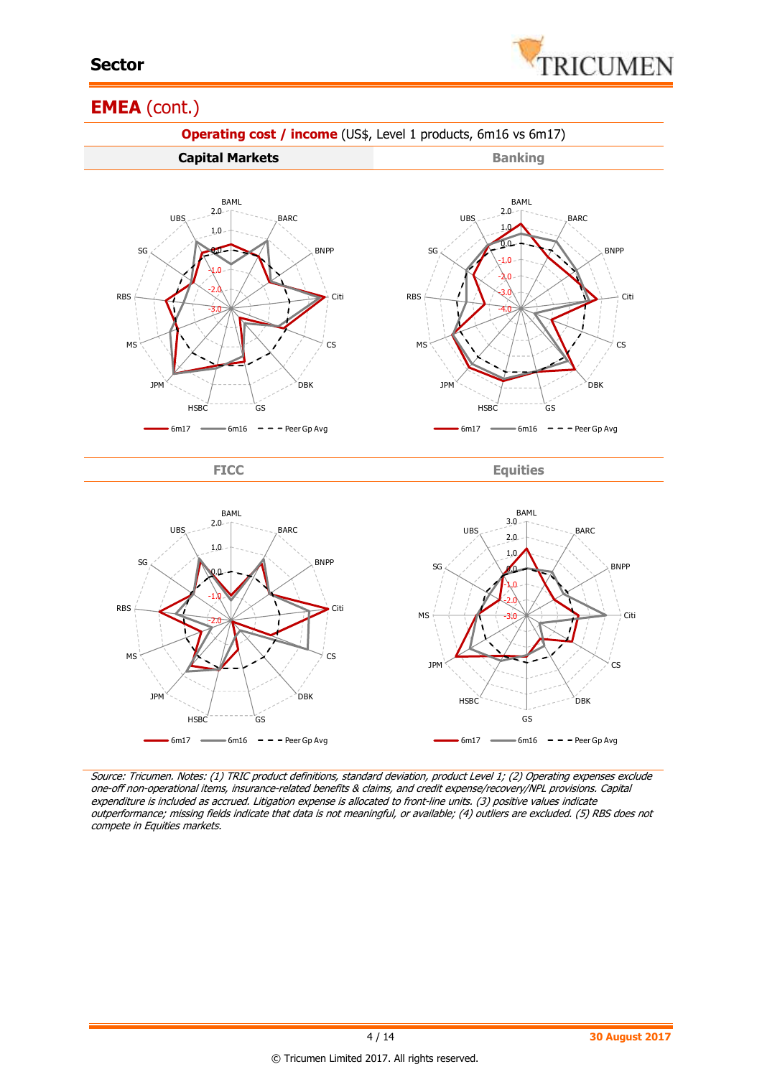

### **EMEA** (cont.)



Source: Tricumen. Notes: (1) TRIC product definitions, standard deviation, product Level 1; (2) Operating expenses exclude one-off non-operational items, insurance-related benefits & claims, and credit expense/recovery/NPL provisions. Capital expenditure is included as accrued. Litigation expense is allocated to front-line units. (3) positive values indicate outperformance; missing fields indicate that data is not meaningful, or available; (4) outliers are excluded. (5) RBS does not compete in Equities markets.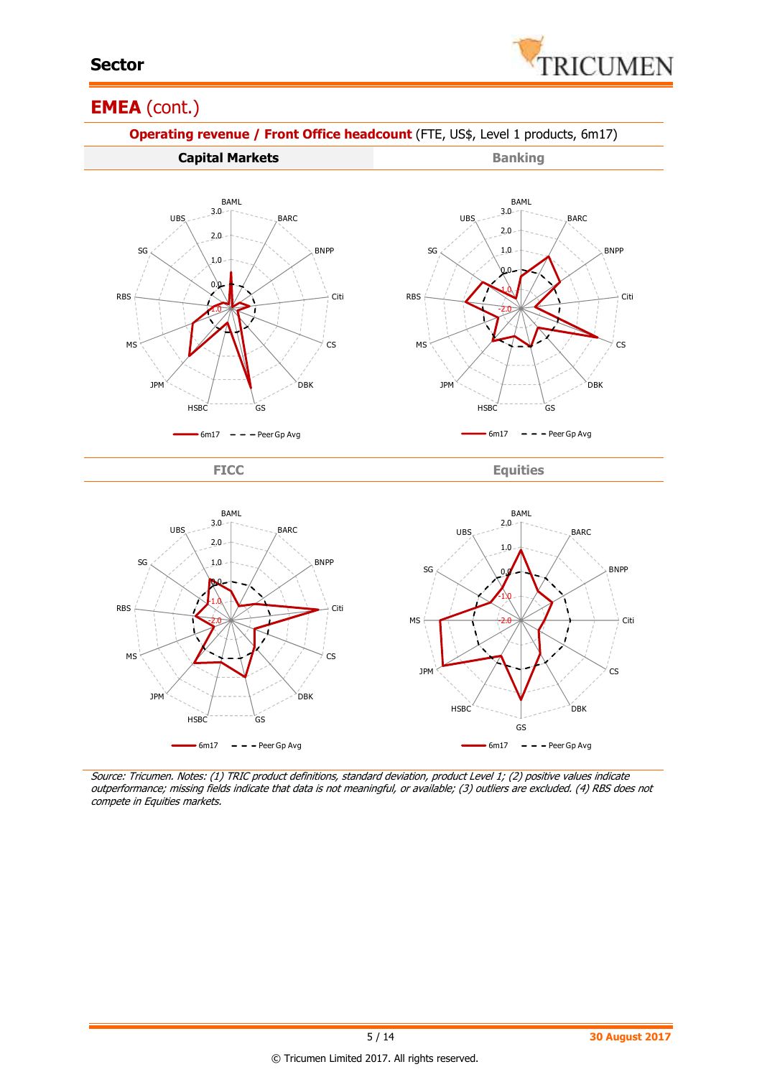

### **EMEA** (cont.)



Source: Tricumen. Notes: (1) TRIC product definitions, standard deviation, product Level 1; (2) positive values indicate outperformance; missing fields indicate that data is not meaningful, or available; (3) outliers are excluded. (4) RBS does not compete in Equities markets.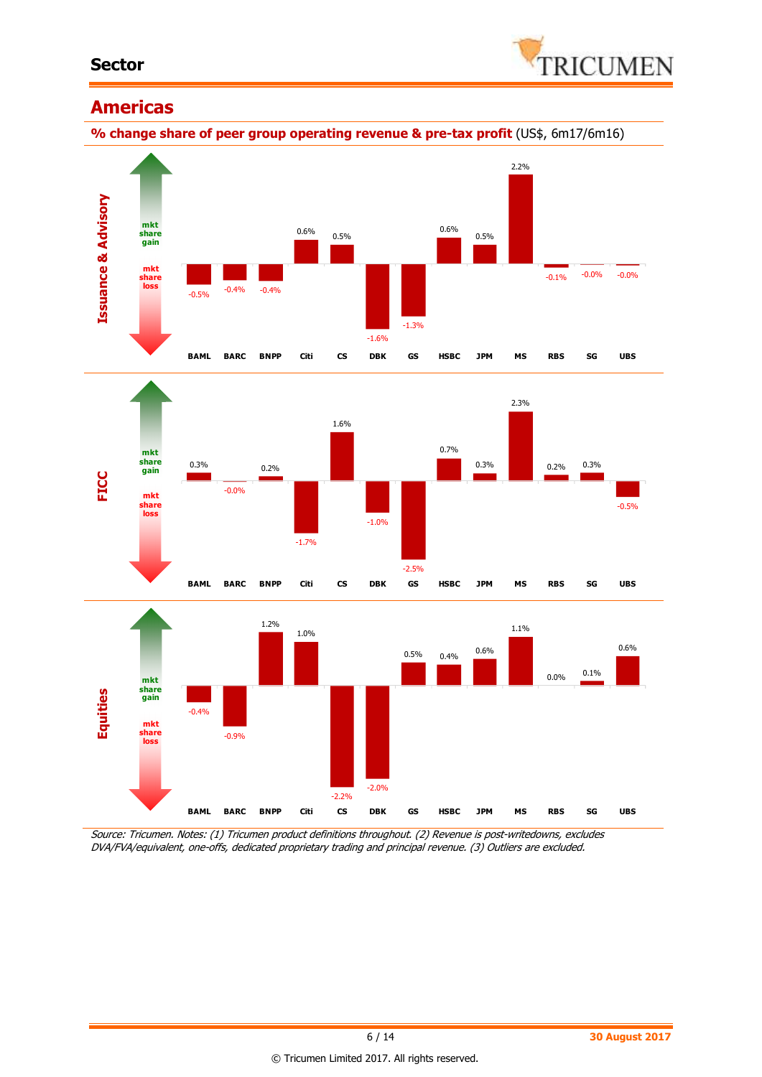

### **Americas**

**% change share of peer group operating revenue & pre-tax profit** (US\$, 6m17/6m16)







Source: Tricumen. Notes: (1) Tricumen product definitions throughout. (2) Revenue is post-writedowns, excludes DVA/FVA/equivalent, one-offs, dedicated proprietary trading and principal revenue. (3) Outliers are excluded.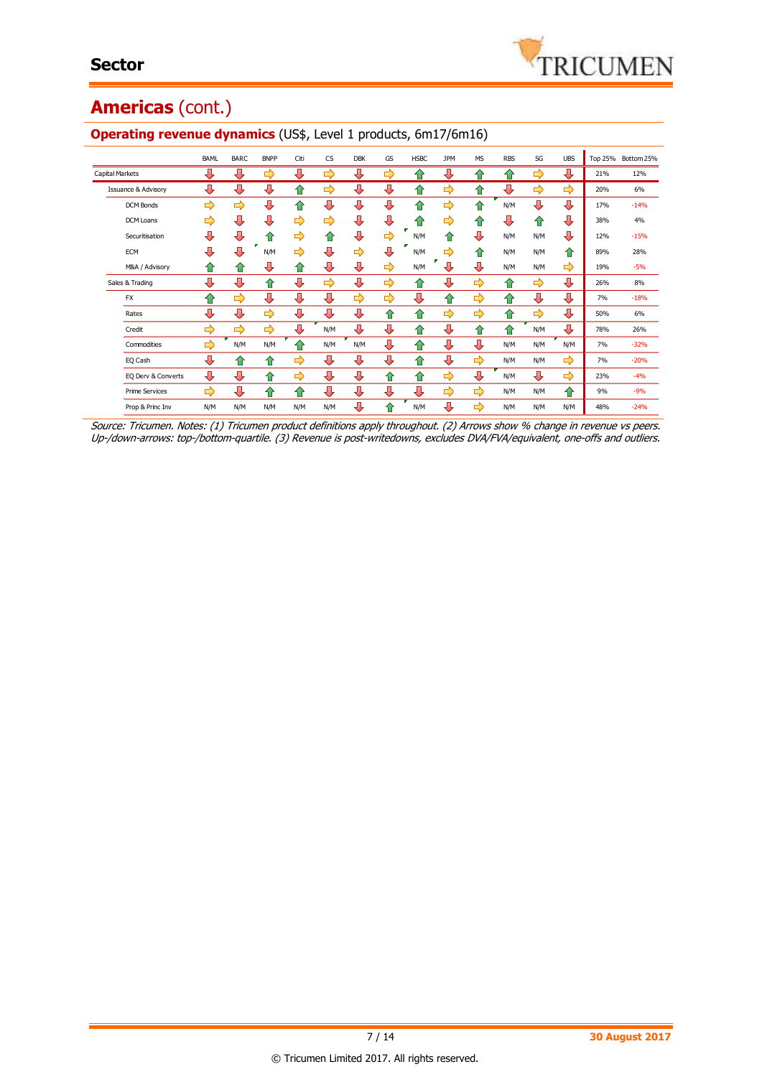# **Americas** (cont.)

|                                | BAML | <b>BARC</b> | <b>BNPP</b> | Citi          | <b>CS</b> | <b>DBK</b> | GS            | <b>HSBC</b> | <b>JPM</b> | <b>MS</b>     | <b>RBS</b> | SG  | <b>UBS</b> | <b>Top 25%</b> | Bottom 25% |
|--------------------------------|------|-------------|-------------|---------------|-----------|------------|---------------|-------------|------------|---------------|------------|-----|------------|----------------|------------|
| Capital Markets                | ⊕    | ⊕           | ⇨           | ⊕             | ⇨         | ⊕          | ⇨             | 10          | ⊕          | ⇑             | ⇑          | ⇨   | ⊕          | 21%            | 12%        |
| <b>Issuance &amp; Advisory</b> | ⊕    | ⊕           | ⊕           | ⇑             | ⇛         | ⊕          | ⊕             | ⇑           | ⇨          | 企             | ⊕          | ⇨   | ⇨          | 20%            | 6%         |
| <b>DCM Bonds</b>               | ⇨    | ⇨           | ⊕           | 仐             | ⇩         | ⊕          | ⊕             | 仐           | ⇨          | ⇑             | N/M        | ⊕   | ⊕          | 17%            | $-14%$     |
| <b>DCM Loans</b>               | ⇨    | ⊕           | ⊕           | ⇨             | ⇨         | ⊕          | ⊕             | 仆           | ⇨          | ⇑             | ⊕          | ⇑   | ⊕          | 38%            | 4%         |
| Securitisation                 | ⊕    | ⊕           | ⇑           | ⇨             | ⇑         | ⊕          | ⇨             | N/M         | ⇑          | Д             | N/M        | N/M | ⊕          | 12%            | $-15%$     |
| <b>ECM</b>                     | ⊕    | Д           | N/M         | $\Rightarrow$ | л         | ⇨          | ⊕             | N/M         | ⇨          | ⇑             | N/M        | N/M | ⇑          | 89%            | 28%        |
| M&A / Advisory                 | ⇑    | ങ           | ⊕           | ⇑             | ⊕         | ⊕          | ⇨             | N/M         |            | л             | N/M        | N/M | ⇨          | 19%            | $-5%$      |
| Sales & Trading                | л    | ⊕           | 企           | Л             | ⇨         | ⊕          | ⇨             | 10          | J,         | ⇨             | ⇑          | ⇨   | ⊕          | 26%            | 8%         |
| <b>FX</b>                      | ♠    | ⇨           | ⊕           | ⊕             | ⊕         | ⇨          | $\Rightarrow$ | ⊕           | ⇑          | ⇨             | 仐          | ⊕   | ⊕          | 7%             | $-18%$     |
| Rates                          | ⊕    | ⊕           | ⇨           | ⊕             | ⊕         | ⊕          | ⇑             | ⇑           | ⇨          | ⇛             | ⇑          | ⇨   | ⊕          | 50%            | 6%         |
| Credit                         | ⇨    | ⇨           | ⇨           | л             | N/M       | л          | ⊕             | $\bigcap$   | ⊕          | ⇑             | 仐          | N/M | ⊕          | 78%            | 26%        |
| Commodities                    | ⇨    | N/M         | N/M         | ⇑             | N/M       | N/M        | ⊕             | ⇑           | ⊕          | Д             | N/M        | N/M | N/M        | 7%             | $-32%$     |
| EQ Cash                        | л    | ↭           | ⇑           | ⇨             | ⊕         | ⊕          | ⊕             | ⇑           | ⊕          | $\Rightarrow$ | N/M        | N/M | ⇨          | 7%             | $-20%$     |
| EQ Derv & Converts             | ⊕    | ⊕           | 企           | ⇨             | ⊕         | ⊕          | ങ             | 仆           | ⇨          | ⊕             | N/M        | ⊕   | ⇨          | 23%            | $-4%$      |
| <b>Prime Services</b>          | ⇨    | ⊕           | ⇑           | ⇑             | ⊕         | ⊕          | ⊕             | ⊕           | ⇨          | ⇨             | N/M        | N/M | ⇑          | 9%             | $-9%$      |
| Prop & Princ Inv               | N/M  | N/M         | N/M         | N/M           | N/M       | ⊕          |               | N/M         | л          | ⇨             | N/M        | N/M | N/M        | 48%            | $-24%$     |

#### **Operating revenue dynamics** (US\$, Level 1 products, 6m17/6m16)

Source: Tricumen. Notes: (1) Tricumen product definitions apply throughout. (2) Arrows show % change in revenue vs peers. Up-/down-arrows: top-/bottom-quartile. (3) Revenue is post-writedowns, excludes DVA/FVA/equivalent, one-offs and outliers.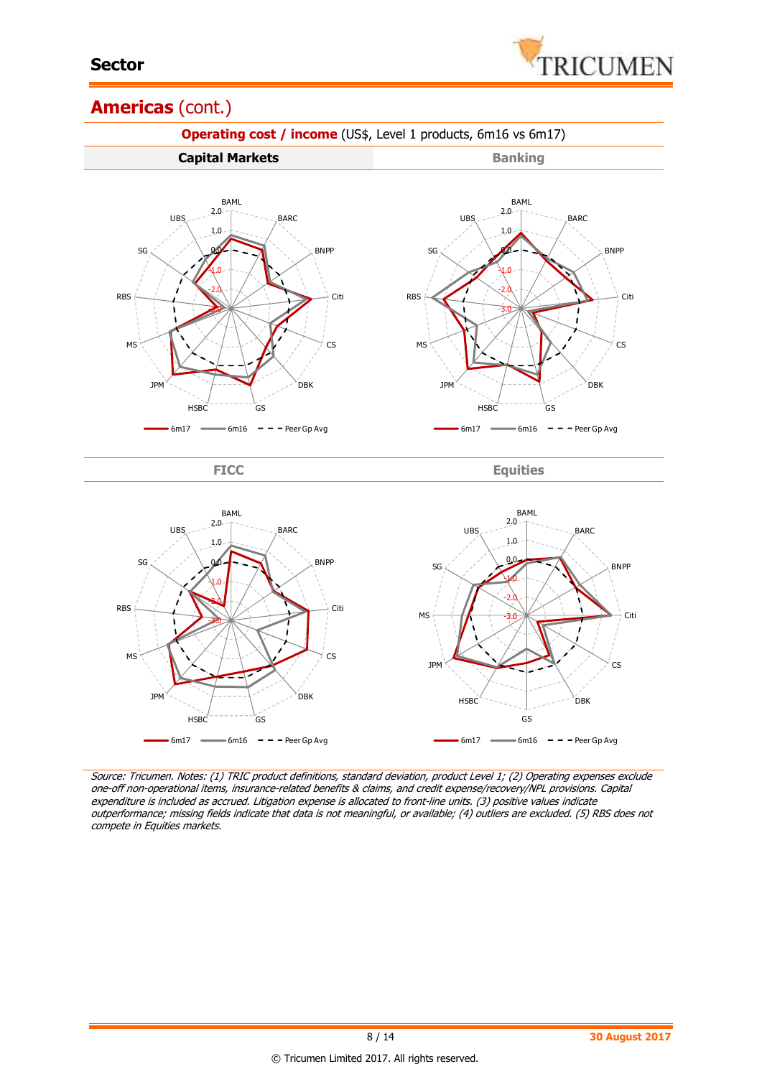

### **Americas** (cont.)



Source: Tricumen. Notes: (1) TRIC product definitions, standard deviation, product Level 1; (2) Operating expenses exclude one-off non-operational items, insurance-related benefits & claims, and credit expense/recovery/NPL provisions. Capital expenditure is included as accrued. Litigation expense is allocated to front-line units. (3) positive values indicate outperformance; missing fields indicate that data is not meaningful, or available; (4) outliers are excluded. (5) RBS does not compete in Equities markets.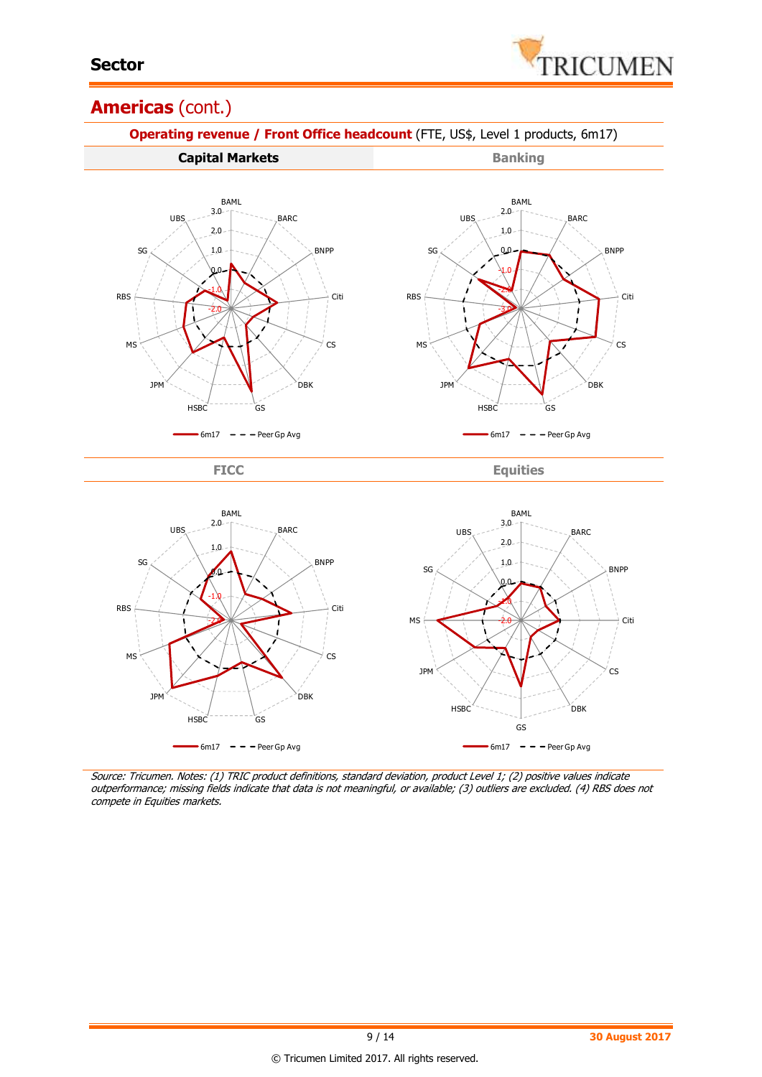

### **Americas** (cont.)



Source: Tricumen. Notes: (1) TRIC product definitions, standard deviation, product Level 1; (2) positive values indicate outperformance; missing fields indicate that data is not meaningful, or available; (3) outliers are excluded. (4) RBS does not compete in Equities markets.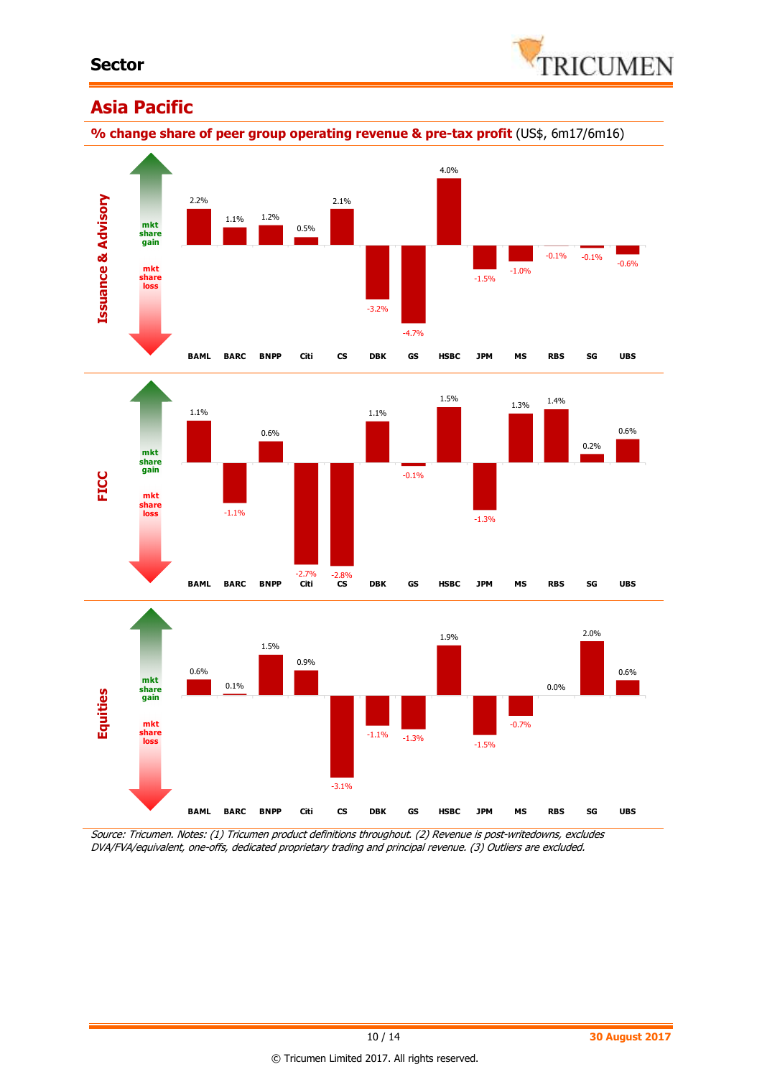

## **Asia Pacific**

**% change share of peer group operating revenue & pre-tax profit** (US\$, 6m17/6m16)



Source: Tricumen. Notes: (1) Tricumen product definitions throughout. (2) Revenue is post-writedowns, excludes DVA/FVA/equivalent, one-offs, dedicated proprietary trading and principal revenue. (3) Outliers are excluded.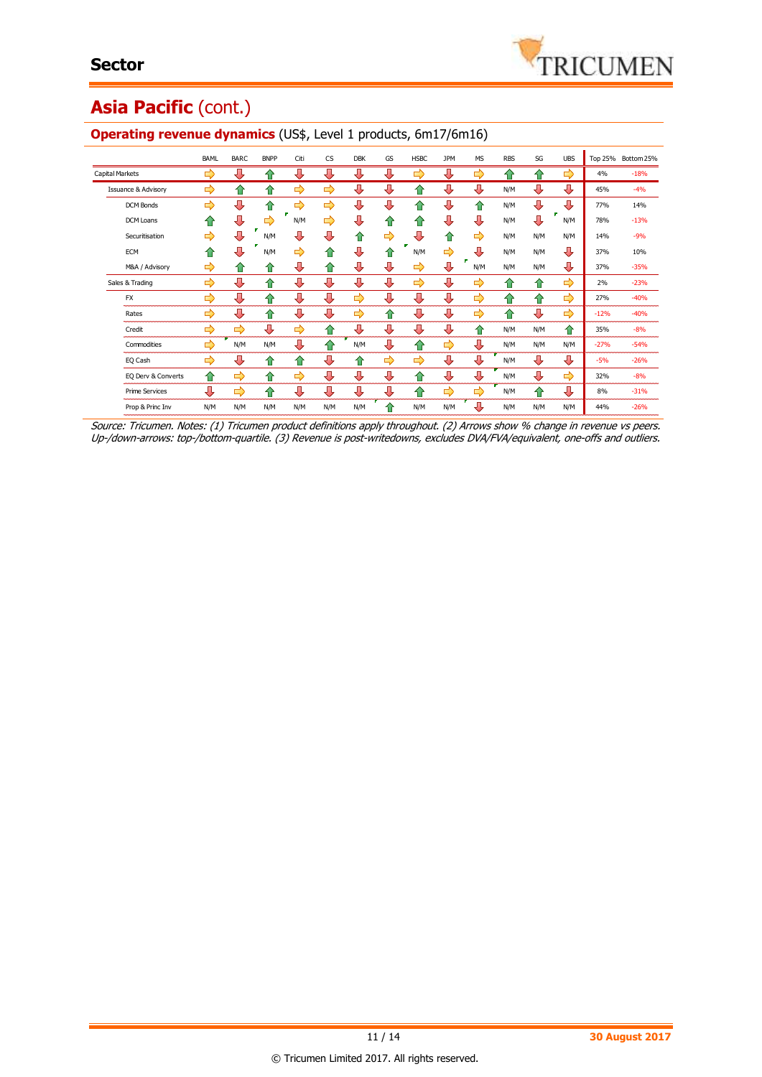# Asia Pacific (cont.)

|                                | <b>BAML</b> | <b>BARC</b> | <b>BNPP</b>        | Citi          | <b>CS</b>     | <b>DBK</b> | GS        | <b>HSBC</b> | <b>JPM</b> | <b>MS</b> | <b>RBS</b> | SG  | <b>UBS</b> |        | Top 25% Bottom 25% |
|--------------------------------|-------------|-------------|--------------------|---------------|---------------|------------|-----------|-------------|------------|-----------|------------|-----|------------|--------|--------------------|
| Capital Markets                | ⇨           | ⊕           | 企                  | ┺             | ⊕             | ⊕          | ⊕         | ⇨           | ⊕          | ⇨         | 企          | ⇑   | ⇨          | 4%     | $-18%$             |
| <b>Issuance &amp; Advisory</b> | ⇨           | ≏           | ⇑                  | ⇨             | $\Rightarrow$ | ⊕          | л         | ⇑           | ⇩          | л         | N/M        | ⊕   | ⊕          | 45%    | $-4%$              |
| <b>DCM Bonds</b>               | ⇨           | ⊕           | 企                  | ⇨             | $\Rightarrow$ | ⊕          | ⊕         | ⇑           | ⊕          | ⇑         | N/M        | ⊕   | ⊕          | 77%    | 14%                |
| <b>DCM Loans</b>               | ⇑           | ⊕           | ⇨                  | N/M           | ⇨             | ⊕          | ≏         | 仆           | ⇩          | л         | N/M        | ⊕   | N/M        | 78%    | $-13%$             |
| Securitisation                 | ⇨           | ⊕           | N/M                | ⊕             | ⊕             | ⇧          | ⇨         | л           | ⇑          | ⇨         | N/M        | N/M | N/M        | 14%    | $-9%$              |
| <b>ECM</b>                     | ♠           | л           | N/M                | $\Rightarrow$ | ⇑             | л          | ങ         | N/M         | ⇨          | J,        | N/M        | N/M | ⊕          | 37%    | 10%                |
| M&A / Advisory                 | ⇨           | ⇑           | ⇧                  | ⊕             | ⇑             | ⊕          | ⊕         | ⇨           | ⊕          | N/M       | N/M        | N/M | ⊕          | 37%    | $-35%$             |
| Sales & Trading                | ⇨           | ⊕           | 企                  | Л             | ⇩             | ⊕          | ⊕         | ⇨           | ⊕          | ⇨         | ⇑          | ⇑   | ⇨          | 2%     | $-23%$             |
| <b>FX</b>                      | ⇨           | ⊕           | $\bullet$          | ⇩             | ⇩             | ⇨          | л         | ⊕           | ⊕          | ⇨         | 仐          | ⇑   | ⇨          | 27%    | $-40%$             |
| Rates                          | ⇨           | ⊕           | $\hat{\mathbf{r}}$ | ⊕             | ⊕             | ⇨          | $\bigcap$ | ⊕           | ⊕          | ⇨         | 仐          | ⊕   | ⇨          | $-12%$ | $-40%$             |
| Credit                         | ⇨           | ⇨           | ⊕                  | ⇨             | ⇑             | ⊕          | ⊕         | ⊕           | ⊕          | 企         | N/M        | N/M | ⇑          | 35%    | $-8%$              |
| Commodities                    | ⇨           | N/M         | N/M                | ⊕             | ⇑             | N/M        | ⊕         | ⇑           | ⇨          | ⊕         | N/M        | N/M | N/M        | $-27%$ | $-54%$             |
| EQ Cash                        | ⇨           | ⊕           | ⇑                  | ⇑             | ⊕             | ⇧          | ⇨         | ⇨           | ⊕          | ⇩         | N/M        | ⊕   | ⊕          | $-5%$  | $-26%$             |
| EQ Derv & Converts             | ⇑           | ⇨           | 仆                  | ⇨             | ⊕             | ⊕          | ⊕         | 仆           | ⊕          | ⊕         | N/M        | ⊕   | ⇨          | 32%    | $-8%$              |
| <b>Prime Services</b>          | ⊕           | ⇨           | ⇑                  | ⇩             | ⊕             | ⊕          | ⊕         | 企           | ⇨          | ⇨         | N/M        | ⇑   | ⊕          | 8%     | $-31%$             |
| Prop & Princ Inv               | N/M         | N/M         | N/M                | N/M           | N/M           | N/M        |           | N/M         | N/M        | Д         | N/M        | N/M | N/M        | 44%    | $-26%$             |

### **Operating revenue dynamics** (US\$, Level 1 products, 6m17/6m16)

Source: Tricumen. Notes: (1) Tricumen product definitions apply throughout. (2) Arrows show % change in revenue vs peers. Up-/down-arrows: top-/bottom-quartile. (3) Revenue is post-writedowns, excludes DVA/FVA/equivalent, one-offs and outliers.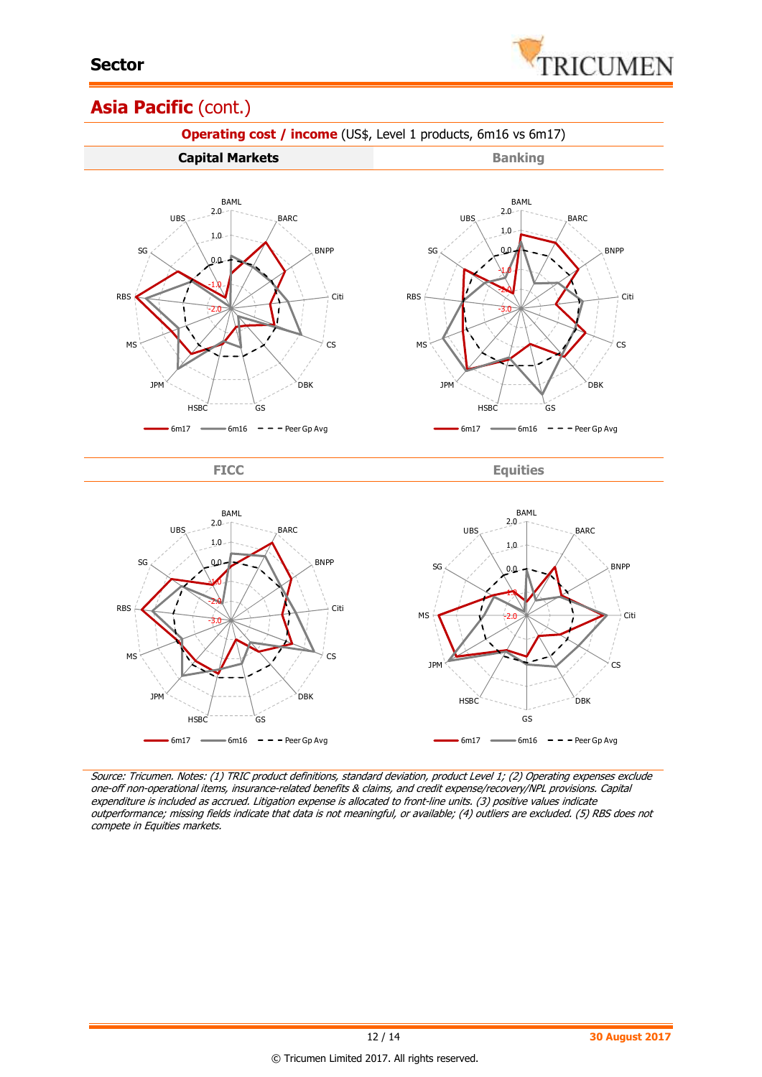

## Asia Pacific (cont.)



Source: Tricumen. Notes: (1) TRIC product definitions, standard deviation, product Level 1; (2) Operating expenses exclude one-off non-operational items, insurance-related benefits & claims, and credit expense/recovery/NPL provisions. Capital expenditure is included as accrued. Litigation expense is allocated to front-line units. (3) positive values indicate outperformance; missing fields indicate that data is not meaningful, or available; (4) outliers are excluded. (5) RBS does not compete in Equities markets.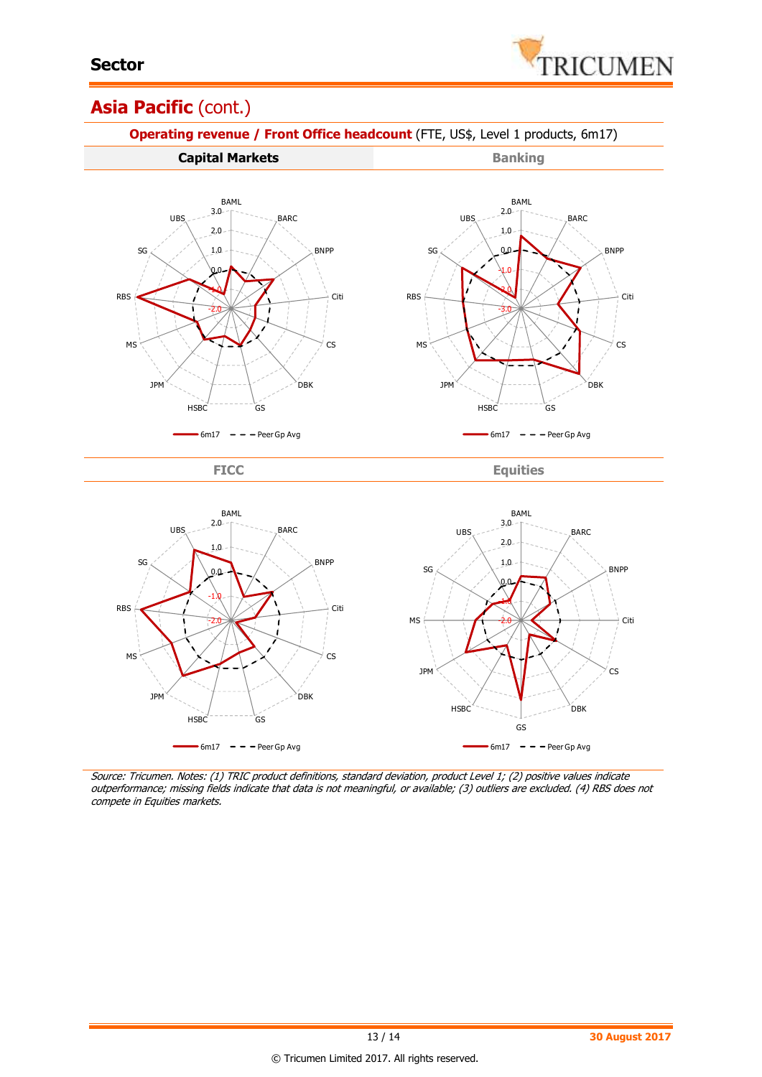

### Asia Pacific (cont.)



Source: Tricumen. Notes: (1) TRIC product definitions, standard deviation, product Level 1; (2) positive values indicate outperformance; missing fields indicate that data is not meaningful, or available; (3) outliers are excluded. (4) RBS does not compete in Equities markets.